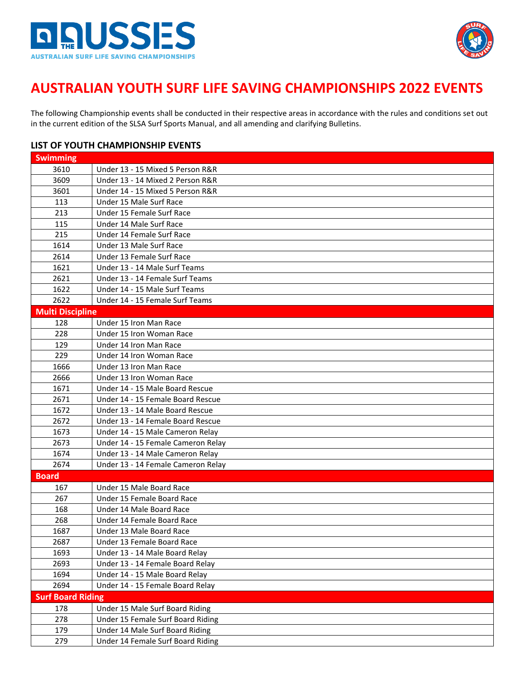



#### **AUSTRALIAN YOUTH SURF LIFE SAVING CHAMPIONSHIPS 2022 EVENTS**

The following Championship events shall be conducted in their respective areas in accordance with the rules and conditions set out in the current edition of the SLSA [Surf Sports Manual,](https://www.manula.com/manuals/surf-life-saving-australi/surf-sports/1/en/topic/introduction) and all amending and clarifying Bulletins.

#### **LIST OF YOUTH CHAMPIONSHIP EVENTS**

| <b>Swimming</b>          |                                    |
|--------------------------|------------------------------------|
| 3610                     | Under 13 - 15 Mixed 5 Person R&R   |
| 3609                     | Under 13 - 14 Mixed 2 Person R&R   |
| 3601                     | Under 14 - 15 Mixed 5 Person R&R   |
| 113                      | Under 15 Male Surf Race            |
| 213                      | Under 15 Female Surf Race          |
| 115                      | Under 14 Male Surf Race            |
| 215                      | Under 14 Female Surf Race          |
| 1614                     | Under 13 Male Surf Race            |
| 2614                     | Under 13 Female Surf Race          |
| 1621                     | Under 13 - 14 Male Surf Teams      |
| 2621                     | Under 13 - 14 Female Surf Teams    |
| 1622                     | Under 14 - 15 Male Surf Teams      |
| 2622                     | Under 14 - 15 Female Surf Teams    |
| <b>Multi Discipline</b>  |                                    |
| 128                      | Under 15 Iron Man Race             |
| 228                      | Under 15 Iron Woman Race           |
| 129                      | Under 14 Iron Man Race             |
| 229                      | Under 14 Iron Woman Race           |
| 1666                     | Under 13 Iron Man Race             |
| 2666                     | Under 13 Iron Woman Race           |
| 1671                     | Under 14 - 15 Male Board Rescue    |
| 2671                     | Under 14 - 15 Female Board Rescue  |
| 1672                     | Under 13 - 14 Male Board Rescue    |
| 2672                     | Under 13 - 14 Female Board Rescue  |
| 1673                     | Under 14 - 15 Male Cameron Relay   |
| 2673                     | Under 14 - 15 Female Cameron Relay |
| 1674                     | Under 13 - 14 Male Cameron Relay   |
| 2674                     | Under 13 - 14 Female Cameron Relay |
| <b>Board</b>             |                                    |
| 167                      | Under 15 Male Board Race           |
| 267                      | Under 15 Female Board Race         |
| 168                      | Under 14 Male Board Race           |
| 268                      | Under 14 Female Board Race         |
| 1687                     | Under 13 Male Board Race           |
| 2687                     | Under 13 Female Board Race         |
| 1693                     | Under 13 - 14 Male Board Relay     |
| 2693                     | Under 13 - 14 Female Board Relay   |
| 1694                     | Under 14 - 15 Male Board Relay     |
| 2694                     | Under 14 - 15 Female Board Relay   |
| <b>Surf Board Riding</b> |                                    |
| 178                      | Under 15 Male Surf Board Riding    |
| 278                      | Under 15 Female Surf Board Riding  |
| 179                      | Under 14 Male Surf Board Riding    |
| 279                      | Under 14 Female Surf Board Riding  |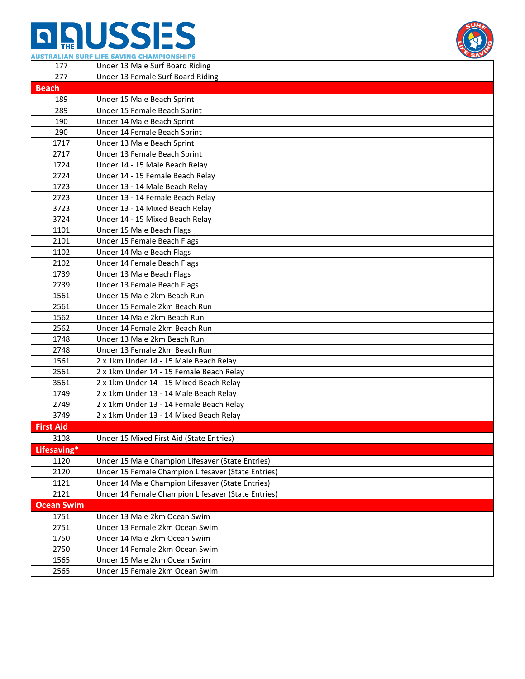# **n AUSSES**



|                   | AUSTRALIAN SURF LIFE SAVING CHAMPIONSHIPS                                         |  |
|-------------------|-----------------------------------------------------------------------------------|--|
| 177               | Under 13 Male Surf Board Riding                                                   |  |
| 277               | Under 13 Female Surf Board Riding                                                 |  |
| <b>Beach</b>      |                                                                                   |  |
| 189               | Under 15 Male Beach Sprint                                                        |  |
| 289               | Under 15 Female Beach Sprint                                                      |  |
| 190               | Under 14 Male Beach Sprint                                                        |  |
| 290               | Under 14 Female Beach Sprint                                                      |  |
| 1717              | Under 13 Male Beach Sprint                                                        |  |
| 2717              | Under 13 Female Beach Sprint                                                      |  |
| 1724              | Under 14 - 15 Male Beach Relay                                                    |  |
| 2724              | Under 14 - 15 Female Beach Relay                                                  |  |
| 1723              | Under 13 - 14 Male Beach Relay                                                    |  |
| 2723              | Under 13 - 14 Female Beach Relay                                                  |  |
| 3723              | Under 13 - 14 Mixed Beach Relay                                                   |  |
| 3724              | Under 14 - 15 Mixed Beach Relay                                                   |  |
| 1101              | Under 15 Male Beach Flags                                                         |  |
| 2101              | Under 15 Female Beach Flags                                                       |  |
| 1102              | Under 14 Male Beach Flags                                                         |  |
| 2102              | Under 14 Female Beach Flags                                                       |  |
| 1739              | Under 13 Male Beach Flags                                                         |  |
| 2739              | Under 13 Female Beach Flags                                                       |  |
| 1561              | Under 15 Male 2km Beach Run                                                       |  |
| 2561              | Under 15 Female 2km Beach Run                                                     |  |
| 1562              | Under 14 Male 2km Beach Run                                                       |  |
| 2562              | Under 14 Female 2km Beach Run                                                     |  |
| 1748              | Under 13 Male 2km Beach Run                                                       |  |
| 2748              | Under 13 Female 2km Beach Run                                                     |  |
| 1561              | 2 x 1km Under 14 - 15 Male Beach Relay                                            |  |
| 2561<br>3561      | 2 x 1km Under 14 - 15 Female Beach Relay                                          |  |
|                   | 2 x 1km Under 14 - 15 Mixed Beach Relay<br>2 x 1km Under 13 - 14 Male Beach Relay |  |
| 1749<br>2749      | 2 x 1km Under 13 - 14 Female Beach Relay                                          |  |
| 3749              | 2 x 1km Under 13 - 14 Mixed Beach Relay                                           |  |
| <b>First Aid</b>  |                                                                                   |  |
| 3108              |                                                                                   |  |
| Lifesaving*       | Under 15 Mixed First Aid (State Entries)                                          |  |
| 1120              | Under 15 Male Champion Lifesaver (State Entries)                                  |  |
| 2120              | Under 15 Female Champion Lifesaver (State Entries)                                |  |
| 1121              | Under 14 Male Champion Lifesaver (State Entries)                                  |  |
| 2121              | Under 14 Female Champion Lifesaver (State Entries)                                |  |
| <b>Ocean Swim</b> |                                                                                   |  |
| 1751              | Under 13 Male 2km Ocean Swim                                                      |  |
| 2751              | Under 13 Female 2km Ocean Swim                                                    |  |
| 1750              | Under 14 Male 2km Ocean Swim                                                      |  |
| 2750              | Under 14 Female 2km Ocean Swim                                                    |  |
| 1565              | Under 15 Male 2km Ocean Swim                                                      |  |
| 2565              | Under 15 Female 2km Ocean Swim                                                    |  |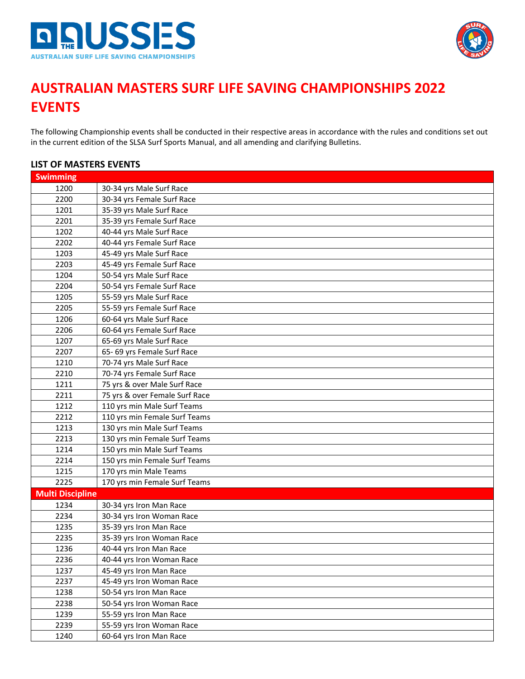



#### **AUSTRALIAN MASTERS SURF LIFE SAVING CHAMPIONSHIPS 2022 EVENTS**

The following Championship events shall be conducted in their respective areas in accordance with the rules and conditions set out in the current edition of the SLSA Surf Sports Manual, and all amending and clarifying Bulletins.

| LIST UF MASTERS EVENTS  |                                |  |
|-------------------------|--------------------------------|--|
| <b>Swimming</b>         |                                |  |
| 1200                    | 30-34 yrs Male Surf Race       |  |
| 2200                    | 30-34 yrs Female Surf Race     |  |
| 1201                    | 35-39 yrs Male Surf Race       |  |
| 2201                    | 35-39 yrs Female Surf Race     |  |
| 1202                    | 40-44 yrs Male Surf Race       |  |
| 2202                    | 40-44 yrs Female Surf Race     |  |
| 1203                    | 45-49 yrs Male Surf Race       |  |
| 2203                    | 45-49 yrs Female Surf Race     |  |
| 1204                    | 50-54 yrs Male Surf Race       |  |
| 2204                    | 50-54 yrs Female Surf Race     |  |
| 1205                    | 55-59 yrs Male Surf Race       |  |
| 2205                    | 55-59 yrs Female Surf Race     |  |
| 1206                    | 60-64 yrs Male Surf Race       |  |
| 2206                    | 60-64 yrs Female Surf Race     |  |
| 1207                    | 65-69 yrs Male Surf Race       |  |
| 2207                    | 65-69 yrs Female Surf Race     |  |
| 1210                    | 70-74 yrs Male Surf Race       |  |
| 2210                    | 70-74 yrs Female Surf Race     |  |
| 1211                    | 75 yrs & over Male Surf Race   |  |
| 2211                    | 75 yrs & over Female Surf Race |  |
| 1212                    | 110 yrs min Male Surf Teams    |  |
| 2212                    | 110 yrs min Female Surf Teams  |  |
| 1213                    | 130 yrs min Male Surf Teams    |  |
| 2213                    | 130 yrs min Female Surf Teams  |  |
| 1214                    | 150 yrs min Male Surf Teams    |  |
| 2214                    | 150 yrs min Female Surf Teams  |  |
| 1215                    | 170 yrs min Male Teams         |  |
| 2225                    | 170 yrs min Female Surf Teams  |  |
| <b>Multi Discipline</b> |                                |  |
| 1234                    | 30-34 yrs Iron Man Race        |  |
| 2234                    | 30-34 yrs Iron Woman Race      |  |
| 1235                    | 35-39 yrs Iron Man Race        |  |
| 2235                    | 35-39 yrs Iron Woman Race      |  |
| 1236                    | 40-44 yrs Iron Man Race        |  |
| 2236                    | 40-44 yrs Iron Woman Race      |  |
| 1237                    | 45-49 yrs Iron Man Race        |  |
| 2237                    | 45-49 yrs Iron Woman Race      |  |
| 1238                    | 50-54 yrs Iron Man Race        |  |
| 2238                    | 50-54 yrs Iron Woman Race      |  |
| 1239                    | 55-59 yrs Iron Man Race        |  |
| 2239                    | 55-59 yrs Iron Woman Race      |  |
| 1240                    | 60-64 yrs Iron Man Race        |  |

#### **LIST OF MASTERS EVENTS**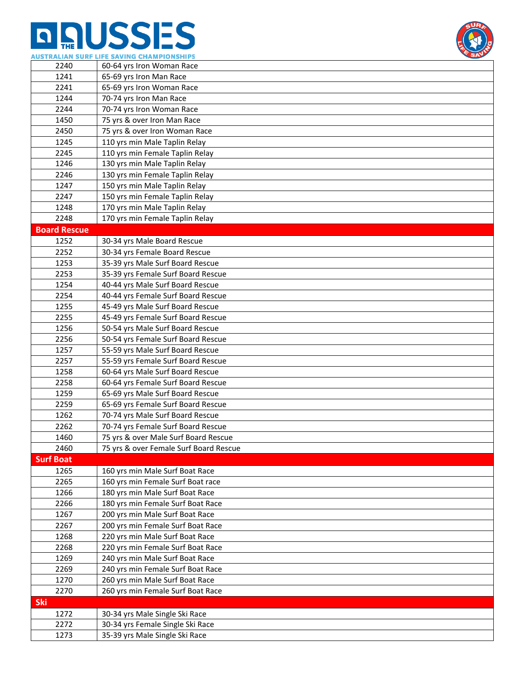

|                     | AUSIKALIAN SUKF LIFE SAVING CHAMPIONSHIPS                            |
|---------------------|----------------------------------------------------------------------|
| 2240                | 60-64 yrs Iron Woman Race                                            |
| 1241                | 65-69 yrs Iron Man Race                                              |
| 2241                | 65-69 yrs Iron Woman Race                                            |
| 1244                | 70-74 yrs Iron Man Race                                              |
| 2244                | 70-74 yrs Iron Woman Race                                            |
| 1450                | 75 yrs & over Iron Man Race                                          |
| 2450                | 75 yrs & over Iron Woman Race                                        |
| 1245                | 110 yrs min Male Taplin Relay                                        |
| 2245                | 110 yrs min Female Taplin Relay                                      |
| 1246                | 130 yrs min Male Taplin Relay                                        |
| 2246                | 130 yrs min Female Taplin Relay                                      |
| 1247                | 150 yrs min Male Taplin Relay                                        |
| 2247                | 150 yrs min Female Taplin Relay                                      |
| 1248                | 170 yrs min Male Taplin Relay                                        |
| 2248                | 170 yrs min Female Taplin Relay                                      |
| <b>Board Rescue</b> |                                                                      |
| 1252                | 30-34 yrs Male Board Rescue                                          |
| 2252                | 30-34 yrs Female Board Rescue                                        |
| 1253                | 35-39 yrs Male Surf Board Rescue                                     |
| 2253                | 35-39 yrs Female Surf Board Rescue                                   |
| 1254                | 40-44 yrs Male Surf Board Rescue                                     |
| 2254                | 40-44 yrs Female Surf Board Rescue                                   |
| 1255                | 45-49 yrs Male Surf Board Rescue                                     |
| 2255                | 45-49 yrs Female Surf Board Rescue                                   |
| 1256                | 50-54 yrs Male Surf Board Rescue                                     |
| 2256                | 50-54 yrs Female Surf Board Rescue                                   |
| 1257                | 55-59 yrs Male Surf Board Rescue                                     |
| 2257                | 55-59 yrs Female Surf Board Rescue                                   |
| 1258                | 60-64 yrs Male Surf Board Rescue                                     |
| 2258                | 60-64 yrs Female Surf Board Rescue                                   |
| 1259                | 65-69 yrs Male Surf Board Rescue                                     |
| 2259                | 65-69 yrs Female Surf Board Rescue                                   |
| 1262                | 70-74 yrs Male Surf Board Rescue                                     |
| 2262                | 70-74 yrs Female Surf Board Rescue                                   |
| 1460                | 75 yrs & over Male Surf Board Rescue                                 |
| 2460                | 75 yrs & over Female Surf Board Rescue                               |
| <b>Surf Boat</b>    |                                                                      |
| 1265                | 160 yrs min Male Surf Boat Race                                      |
| 2265                | 160 yrs min Female Surf Boat race                                    |
| 1266                | 180 yrs min Male Surf Boat Race                                      |
| 2266                | 180 yrs min Female Surf Boat Race                                    |
| 1267                | 200 yrs min Male Surf Boat Race                                      |
| 2267                | 200 yrs min Female Surf Boat Race                                    |
| 1268                | 220 yrs min Male Surf Boat Race                                      |
| 2268                |                                                                      |
| 1269                | 220 yrs min Female Surf Boat Race<br>240 yrs min Male Surf Boat Race |
| 2269                |                                                                      |
|                     | 240 yrs min Female Surf Boat Race                                    |
| 1270<br>2270        | 260 yrs min Male Surf Boat Race                                      |
|                     | 260 yrs min Female Surf Boat Race                                    |
| <b>Ski</b>          |                                                                      |
| 1272                | 30-34 yrs Male Single Ski Race                                       |
| 2272                | 30-34 yrs Female Single Ski Race                                     |
| 1273                | 35-39 yrs Male Single Ski Race                                       |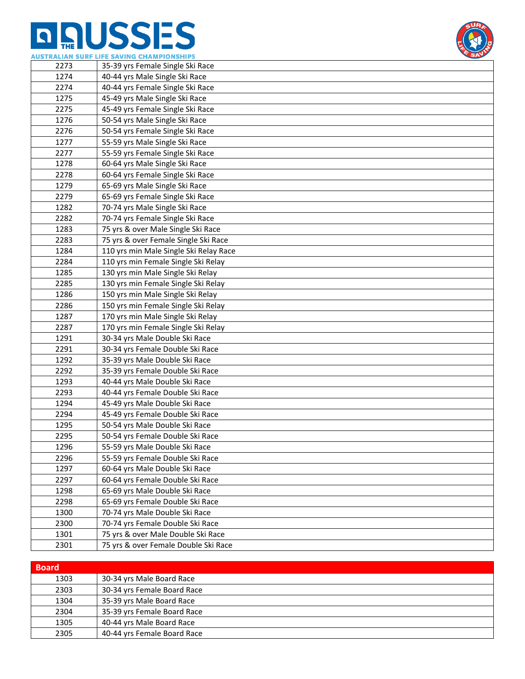

|      | AUSTRALIAN SURF LIFE SAVING CHAMPIONSHIPS |  |
|------|-------------------------------------------|--|
| 2273 | 35-39 yrs Female Single Ski Race          |  |
| 1274 | 40-44 yrs Male Single Ski Race            |  |
| 2274 | 40-44 yrs Female Single Ski Race          |  |
| 1275 | 45-49 yrs Male Single Ski Race            |  |
| 2275 | 45-49 yrs Female Single Ski Race          |  |
| 1276 | 50-54 yrs Male Single Ski Race            |  |
| 2276 | 50-54 yrs Female Single Ski Race          |  |
| 1277 | 55-59 yrs Male Single Ski Race            |  |
| 2277 | 55-59 yrs Female Single Ski Race          |  |
| 1278 | 60-64 yrs Male Single Ski Race            |  |
| 2278 | 60-64 yrs Female Single Ski Race          |  |
| 1279 | 65-69 yrs Male Single Ski Race            |  |
| 2279 | 65-69 yrs Female Single Ski Race          |  |
| 1282 | 70-74 yrs Male Single Ski Race            |  |
| 2282 | 70-74 yrs Female Single Ski Race          |  |
| 1283 | 75 yrs & over Male Single Ski Race        |  |
| 2283 | 75 yrs & over Female Single Ski Race      |  |
| 1284 | 110 yrs min Male Single Ski Relay Race    |  |
| 2284 | 110 yrs min Female Single Ski Relay       |  |
| 1285 | 130 yrs min Male Single Ski Relay         |  |
| 2285 | 130 yrs min Female Single Ski Relay       |  |
| 1286 | 150 yrs min Male Single Ski Relay         |  |
| 2286 | 150 yrs min Female Single Ski Relay       |  |
| 1287 | 170 yrs min Male Single Ski Relay         |  |
| 2287 | 170 yrs min Female Single Ski Relay       |  |
| 1291 | 30-34 yrs Male Double Ski Race            |  |
| 2291 | 30-34 yrs Female Double Ski Race          |  |
| 1292 | 35-39 yrs Male Double Ski Race            |  |
| 2292 | 35-39 yrs Female Double Ski Race          |  |
| 1293 | 40-44 yrs Male Double Ski Race            |  |
| 2293 | 40-44 yrs Female Double Ski Race          |  |
| 1294 | 45-49 yrs Male Double Ski Race            |  |
| 2294 | 45-49 yrs Female Double Ski Race          |  |
| 1295 | 50-54 yrs Male Double Ski Race            |  |
| 2295 | 50-54 yrs Female Double Ski Race          |  |
| 1296 | 55-59 yrs Male Double Ski Race            |  |
| 2296 | 55-59 yrs Female Double Ski Race          |  |
| 1297 | 60-64 yrs Male Double Ski Race            |  |
| 2297 | 60-64 yrs Female Double Ski Race          |  |
| 1298 | 65-69 yrs Male Double Ski Race            |  |
| 2298 | 65-69 yrs Female Double Ski Race          |  |
| 1300 | 70-74 yrs Male Double Ski Race            |  |
| 2300 | 70-74 yrs Female Double Ski Race          |  |
| 1301 | 75 yrs & over Male Double Ski Race        |  |
| 2301 | 75 yrs & over Female Double Ski Race      |  |

| <b>Board</b> |                             |
|--------------|-----------------------------|
| 1303         | 30-34 yrs Male Board Race   |
| 2303         | 30-34 yrs Female Board Race |
| 1304         | 35-39 yrs Male Board Race   |
| 2304         | 35-39 yrs Female Board Race |
| 1305         | 40-44 yrs Male Board Race   |
| 2305         | 40-44 yrs Female Board Race |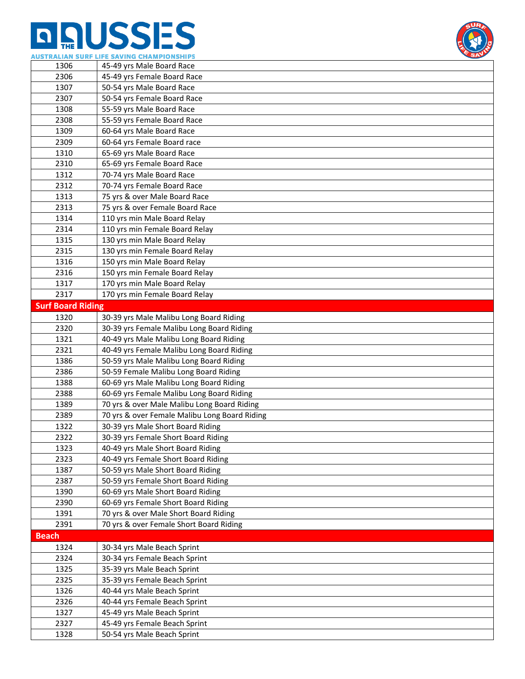# **n AUSSES**



|                          | AUSTRALIAN SURF LIFE SAVING CHAMPIONSHIPS     |
|--------------------------|-----------------------------------------------|
| 1306                     | 45-49 yrs Male Board Race                     |
| 2306                     | 45-49 yrs Female Board Race                   |
| 1307                     | 50-54 yrs Male Board Race                     |
| 2307                     | 50-54 yrs Female Board Race                   |
| 1308                     | 55-59 yrs Male Board Race                     |
| 2308                     | 55-59 yrs Female Board Race                   |
| 1309                     | 60-64 yrs Male Board Race                     |
| 2309                     | 60-64 yrs Female Board race                   |
| 1310                     | 65-69 yrs Male Board Race                     |
| 2310                     | 65-69 yrs Female Board Race                   |
| 1312                     | 70-74 yrs Male Board Race                     |
| 2312                     | 70-74 yrs Female Board Race                   |
| 1313                     | 75 yrs & over Male Board Race                 |
| 2313                     | 75 yrs & over Female Board Race               |
| 1314                     | 110 yrs min Male Board Relay                  |
| 2314                     | 110 yrs min Female Board Relay                |
| 1315                     | 130 yrs min Male Board Relay                  |
| 2315                     | 130 yrs min Female Board Relay                |
| 1316                     | 150 yrs min Male Board Relay                  |
| 2316                     | 150 yrs min Female Board Relay                |
| 1317                     | 170 yrs min Male Board Relay                  |
| 2317                     | 170 yrs min Female Board Relay                |
| <b>Surf Board Riding</b> |                                               |
| 1320                     | 30-39 yrs Male Malibu Long Board Riding       |
| 2320                     | 30-39 yrs Female Malibu Long Board Riding     |
| 1321                     | 40-49 yrs Male Malibu Long Board Riding       |
| 2321                     | 40-49 yrs Female Malibu Long Board Riding     |
| 1386                     | 50-59 yrs Male Malibu Long Board Riding       |
| 2386                     | 50-59 Female Malibu Long Board Riding         |
| 1388                     | 60-69 yrs Male Malibu Long Board Riding       |
| 2388                     | 60-69 yrs Female Malibu Long Board Riding     |
| 1389                     | 70 yrs & over Male Malibu Long Board Riding   |
| 2389                     | 70 yrs & over Female Malibu Long Board Riding |
| 1322                     | 30-39 yrs Male Short Board Riding             |
| 2322                     | 30-39 yrs Female Short Board Riding           |
| 1323                     | 40-49 yrs Male Short Board Riding             |
| 2323                     | 40-49 yrs Female Short Board Riding           |
| 1387                     | 50-59 yrs Male Short Board Riding             |
| 2387                     | 50-59 yrs Female Short Board Riding           |
| 1390                     | 60-69 yrs Male Short Board Riding             |
| 2390                     | 60-69 yrs Female Short Board Riding           |
| 1391                     | 70 yrs & over Male Short Board Riding         |
| 2391                     | 70 yrs & over Female Short Board Riding       |
| <b>Beach</b>             |                                               |
| 1324                     | 30-34 yrs Male Beach Sprint                   |
| 2324                     | 30-34 yrs Female Beach Sprint                 |
| 1325                     | 35-39 yrs Male Beach Sprint                   |
| 2325                     | 35-39 yrs Female Beach Sprint                 |
| 1326                     | 40-44 yrs Male Beach Sprint                   |
| 2326                     | 40-44 yrs Female Beach Sprint                 |
| 1327                     | 45-49 yrs Male Beach Sprint                   |
| 2327                     | 45-49 yrs Female Beach Sprint                 |
| 1328                     | 50-54 yrs Male Beach Sprint                   |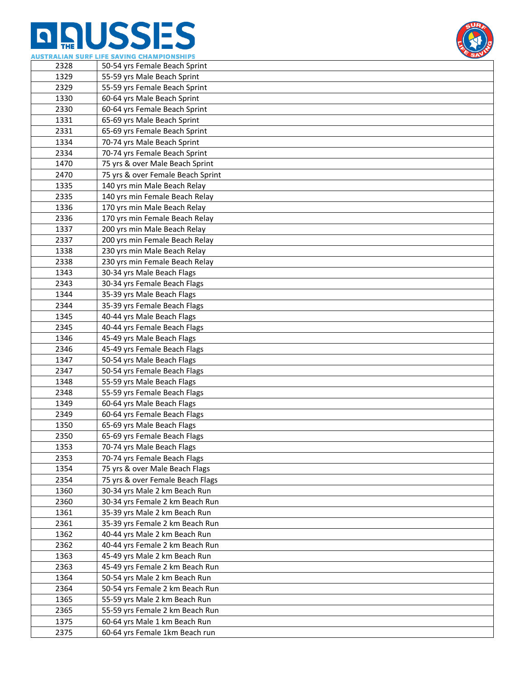## **n AUSSES**



|      | 403TRALIAN SURF LIFE SAVING CHAMFIUNSHIFS |
|------|-------------------------------------------|
| 2328 | 50-54 yrs Female Beach Sprint             |
| 1329 | 55-59 yrs Male Beach Sprint               |
| 2329 | 55-59 yrs Female Beach Sprint             |
| 1330 | 60-64 yrs Male Beach Sprint               |
| 2330 | 60-64 yrs Female Beach Sprint             |
| 1331 | 65-69 yrs Male Beach Sprint               |
| 2331 | 65-69 yrs Female Beach Sprint             |
| 1334 | 70-74 yrs Male Beach Sprint               |
| 2334 | 70-74 yrs Female Beach Sprint             |
| 1470 | 75 yrs & over Male Beach Sprint           |
| 2470 | 75 yrs & over Female Beach Sprint         |
| 1335 | 140 yrs min Male Beach Relay              |
| 2335 | 140 yrs min Female Beach Relay            |
| 1336 | 170 yrs min Male Beach Relay              |
| 2336 | 170 yrs min Female Beach Relay            |
| 1337 | 200 yrs min Male Beach Relay              |
| 2337 | 200 yrs min Female Beach Relay            |
| 1338 | 230 yrs min Male Beach Relay              |
| 2338 | 230 yrs min Female Beach Relay            |
| 1343 | 30-34 yrs Male Beach Flags                |
| 2343 | 30-34 yrs Female Beach Flags              |
| 1344 | 35-39 yrs Male Beach Flags                |
| 2344 | 35-39 yrs Female Beach Flags              |
| 1345 | 40-44 yrs Male Beach Flags                |
| 2345 | 40-44 yrs Female Beach Flags              |
| 1346 | 45-49 yrs Male Beach Flags                |
| 2346 | 45-49 yrs Female Beach Flags              |
| 1347 | 50-54 yrs Male Beach Flags                |
| 2347 | 50-54 yrs Female Beach Flags              |
| 1348 | 55-59 yrs Male Beach Flags                |
| 2348 | 55-59 yrs Female Beach Flags              |
| 1349 | 60-64 yrs Male Beach Flags                |
| 2349 | 60-64 yrs Female Beach Flags              |
| 1350 | 65-69 yrs Male Beach Flags                |
| 2350 | 65-69 yrs Female Beach Flags              |
| 1353 | 70-74 yrs Male Beach Flags                |
| 2353 | 70-74 yrs Female Beach Flags              |
| 1354 | 75 yrs & over Male Beach Flags            |
| 2354 | 75 yrs & over Female Beach Flags          |
| 1360 | 30-34 yrs Male 2 km Beach Run             |
| 2360 | 30-34 yrs Female 2 km Beach Run           |
| 1361 | 35-39 yrs Male 2 km Beach Run             |
| 2361 | 35-39 yrs Female 2 km Beach Run           |
| 1362 | 40-44 yrs Male 2 km Beach Run             |
| 2362 | 40-44 yrs Female 2 km Beach Run           |
| 1363 | 45-49 yrs Male 2 km Beach Run             |
| 2363 | 45-49 yrs Female 2 km Beach Run           |
| 1364 | 50-54 yrs Male 2 km Beach Run             |
| 2364 | 50-54 yrs Female 2 km Beach Run           |
| 1365 | 55-59 yrs Male 2 km Beach Run             |
| 2365 | 55-59 yrs Female 2 km Beach Run           |
| 1375 | 60-64 yrs Male 1 km Beach Run             |
| 2375 | 60-64 yrs Female 1km Beach run            |
|      |                                           |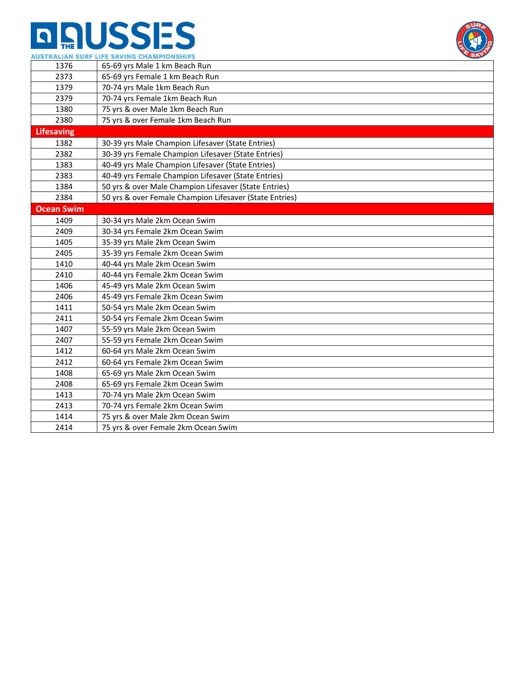

|                   | AUSTRALIAN SURF LIFE SAVING CHAMPIONSHIPS<br>$\mathbf{H}$ |  |
|-------------------|-----------------------------------------------------------|--|
| 1376              | 65-69 yrs Male 1 km Beach Run                             |  |
| 2373              | 65-69 yrs Female 1 km Beach Run                           |  |
| 1379              | 70-74 yrs Male 1km Beach Run                              |  |
| 2379              | 70-74 yrs Female 1km Beach Run                            |  |
| 1380              | 75 yrs & over Male 1km Beach Run                          |  |
| 2380              | 75 yrs & over Female 1km Beach Run                        |  |
| <b>Lifesaving</b> |                                                           |  |
| 1382              | 30-39 yrs Male Champion Lifesaver (State Entries)         |  |
| 2382              | 30-39 yrs Female Champion Lifesaver (State Entries)       |  |
| 1383              | 40-49 yrs Male Champion Lifesaver (State Entries)         |  |
| 2383              | 40-49 yrs Female Champion Lifesaver (State Entries)       |  |
| 1384              | 50 yrs & over Male Champion Lifesaver (State Entries)     |  |
| 2384              | 50 yrs & over Female Champion Lifesaver (State Entries)   |  |
| <b>Ocean Swim</b> |                                                           |  |
| 1409              | 30-34 yrs Male 2km Ocean Swim                             |  |
| 2409              | 30-34 yrs Female 2km Ocean Swim                           |  |
| 1405              | 35-39 yrs Male 2km Ocean Swim                             |  |
| 2405              | 35-39 yrs Female 2km Ocean Swim                           |  |
| 1410              | 40-44 yrs Male 2km Ocean Swim                             |  |
| 2410              | 40-44 yrs Female 2km Ocean Swim                           |  |
| 1406              | 45-49 yrs Male 2km Ocean Swim                             |  |
| 2406              | 45-49 yrs Female 2km Ocean Swim                           |  |
| 1411              | 50-54 yrs Male 2km Ocean Swim                             |  |
| 2411              | 50-54 yrs Female 2km Ocean Swim                           |  |
| 1407              | 55-59 yrs Male 2km Ocean Swim                             |  |
| 2407              | 55-59 yrs Female 2km Ocean Swim                           |  |
| 1412              | 60-64 yrs Male 2km Ocean Swim                             |  |
| 2412              | 60-64 yrs Female 2km Ocean Swim                           |  |
| 1408              | 65-69 yrs Male 2km Ocean Swim                             |  |
| 2408              | 65-69 yrs Female 2km Ocean Swim                           |  |
| 1413              | 70-74 yrs Male 2km Ocean Swim                             |  |
| 2413              | 70-74 yrs Female 2km Ocean Swim                           |  |
| 1414              | 75 yrs & over Male 2km Ocean Swim                         |  |
| 2414              | 75 yrs & over Female 2km Ocean Swim                       |  |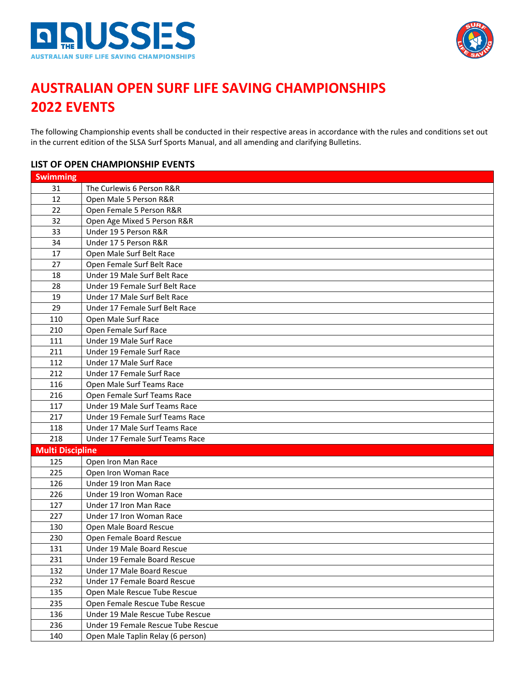



#### **AUSTRALIAN OPEN SURF LIFE SAVING CHAMPIONSHIPS EVENTS**

The following Championship events shall be conducted in their respective areas in accordance with the rules and conditions set out in the current edition of the SLSA Surf Sports Manual, and all amending and clarifying Bulletins.

#### **LIST OF OPEN CHAMPIONSHIP EVENTS**

| <b>Swimming</b>         |                                    |
|-------------------------|------------------------------------|
| 31                      | The Curlewis 6 Person R&R          |
| 12                      | Open Male 5 Person R&R             |
| 22                      | Open Female 5 Person R&R           |
| 32                      | Open Age Mixed 5 Person R&R        |
| 33                      | Under 19 5 Person R&R              |
| 34                      | Under 17 5 Person R&R              |
| 17                      | Open Male Surf Belt Race           |
| 27                      | Open Female Surf Belt Race         |
| 18                      | Under 19 Male Surf Belt Race       |
| 28                      | Under 19 Female Surf Belt Race     |
| 19                      | Under 17 Male Surf Belt Race       |
| 29                      | Under 17 Female Surf Belt Race     |
| 110                     | Open Male Surf Race                |
| 210                     | Open Female Surf Race              |
| 111                     | Under 19 Male Surf Race            |
| 211                     | Under 19 Female Surf Race          |
| 112                     | Under 17 Male Surf Race            |
| 212                     | Under 17 Female Surf Race          |
| 116                     | Open Male Surf Teams Race          |
| 216                     | Open Female Surf Teams Race        |
| 117                     | Under 19 Male Surf Teams Race      |
| 217                     | Under 19 Female Surf Teams Race    |
| 118                     | Under 17 Male Surf Teams Race      |
| 218                     | Under 17 Female Surf Teams Race    |
| <b>Multi Discipline</b> |                                    |
| 125                     | Open Iron Man Race                 |
| 225                     | Open Iron Woman Race               |
| 126                     | Under 19 Iron Man Race             |
| 226                     | Under 19 Iron Woman Race           |
| 127                     | Under 17 Iron Man Race             |
| 227                     | Under 17 Iron Woman Race           |
| 130                     | Open Male Board Rescue             |
| 230                     | Open Female Board Rescue           |
| 131                     | Under 19 Male Board Rescue         |
| 231                     | Under 19 Female Board Rescue       |
| 132                     | Under 17 Male Board Rescue         |
| 232                     | Under 17 Female Board Rescue       |
| 135                     | Open Male Rescue Tube Rescue       |
| 235                     | Open Female Rescue Tube Rescue     |
| 136                     | Under 19 Male Rescue Tube Rescue   |
| 236                     | Under 19 Female Rescue Tube Rescue |
| 140                     | Open Male Taplin Relay (6 person)  |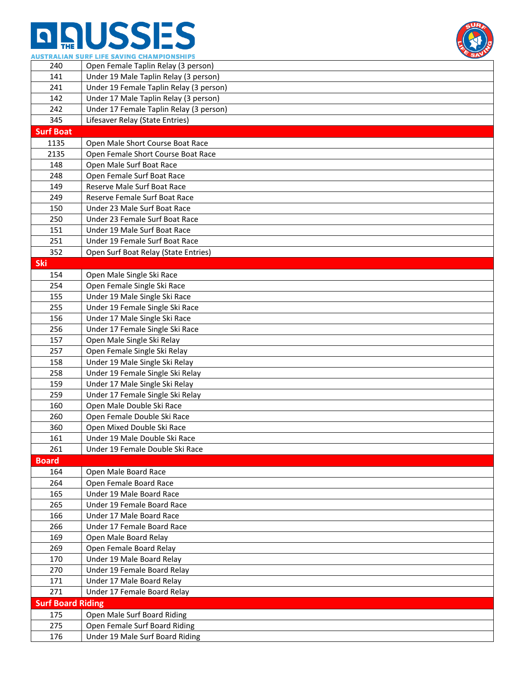

|                          | AUSTRALIAN SURF LIFE SAVING CHAMPIONSHIPS<br>SP <sub>2</sub> |
|--------------------------|--------------------------------------------------------------|
| 240                      | Open Female Taplin Relay (3 person)                          |
| 141                      | Under 19 Male Taplin Relay (3 person)                        |
| 241                      | Under 19 Female Taplin Relay (3 person)                      |
| 142                      | Under 17 Male Taplin Relay (3 person)                        |
| 242                      | Under 17 Female Taplin Relay (3 person)                      |
| 345                      | Lifesaver Relay (State Entries)                              |
| <b>Surf Boat</b>         |                                                              |
| 1135                     | Open Male Short Course Boat Race                             |
| 2135                     | Open Female Short Course Boat Race                           |
| 148                      | Open Male Surf Boat Race                                     |
| 248                      | Open Female Surf Boat Race                                   |
| 149                      | Reserve Male Surf Boat Race                                  |
| 249                      | Reserve Female Surf Boat Race                                |
| 150                      | Under 23 Male Surf Boat Race                                 |
| 250                      | Under 23 Female Surf Boat Race                               |
| 151                      | Under 19 Male Surf Boat Race                                 |
| 251                      | Under 19 Female Surf Boat Race                               |
| 352                      | Open Surf Boat Relay (State Entries)                         |
| <b>Ski</b>               |                                                              |
|                          |                                                              |
| 154                      | Open Male Single Ski Race                                    |
| 254<br>155               | Open Female Single Ski Race<br>Under 19 Male Single Ski Race |
|                          |                                                              |
| 255                      | Under 19 Female Single Ski Race                              |
| 156                      | Under 17 Male Single Ski Race                                |
| 256                      | Under 17 Female Single Ski Race                              |
| 157                      | Open Male Single Ski Relay                                   |
| 257                      | Open Female Single Ski Relay                                 |
| 158                      | Under 19 Male Single Ski Relay                               |
| 258                      | Under 19 Female Single Ski Relay                             |
| 159                      | Under 17 Male Single Ski Relay                               |
| 259                      | Under 17 Female Single Ski Relay                             |
| 160                      | Open Male Double Ski Race                                    |
| 260                      | Open Female Double Ski Race                                  |
| 360                      | Open Mixed Double Ski Race                                   |
| 161                      | Under 19 Male Double Ski Race                                |
| 261                      | Under 19 Female Double Ski Race                              |
| <b>Board</b>             |                                                              |
| 164                      | Open Male Board Race                                         |
| 264                      | Open Female Board Race                                       |
| 165                      | Under 19 Male Board Race                                     |
| 265                      | Under 19 Female Board Race                                   |
| 166                      | Under 17 Male Board Race                                     |
| 266                      | Under 17 Female Board Race                                   |
| 169                      | Open Male Board Relay                                        |
| 269                      | Open Female Board Relay                                      |
| 170                      | Under 19 Male Board Relay                                    |
| 270                      | Under 19 Female Board Relay                                  |
| 171                      | Under 17 Male Board Relay                                    |
| 271                      | Under 17 Female Board Relay                                  |
| <b>Surf Board Riding</b> |                                                              |
| 175                      | Open Male Surf Board Riding                                  |
| 275                      | Open Female Surf Board Riding                                |
| 176                      | Under 19 Male Surf Board Riding                              |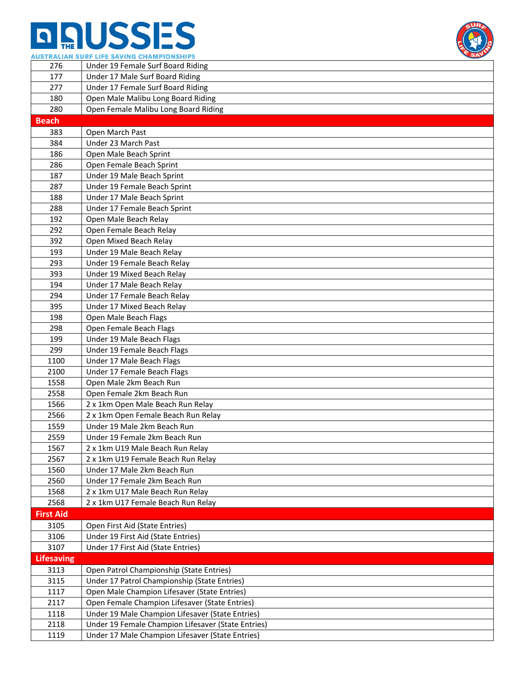

|                   | AUSIKALIAN SUKF LIFE SAVING CHAMPIONSHIPS          |
|-------------------|----------------------------------------------------|
| 276               | Under 19 Female Surf Board Riding                  |
| 177               | Under 17 Male Surf Board Riding                    |
| 277               | Under 17 Female Surf Board Riding                  |
| 180               | Open Male Malibu Long Board Riding                 |
| 280               | Open Female Malibu Long Board Riding               |
| <b>Beach</b>      |                                                    |
| 383               | Open March Past                                    |
| 384               | Under 23 March Past                                |
| 186               | Open Male Beach Sprint                             |
| 286               | Open Female Beach Sprint                           |
| 187               | Under 19 Male Beach Sprint                         |
| 287               | Under 19 Female Beach Sprint                       |
| 188               | Under 17 Male Beach Sprint                         |
| 288               | Under 17 Female Beach Sprint                       |
| 192               | Open Male Beach Relay                              |
| 292               | Open Female Beach Relay                            |
| 392               | Open Mixed Beach Relay                             |
| 193               | Under 19 Male Beach Relay                          |
| 293               | Under 19 Female Beach Relay                        |
| 393               | Under 19 Mixed Beach Relay                         |
| 194               | Under 17 Male Beach Relay                          |
| 294               | Under 17 Female Beach Relay                        |
| 395               | Under 17 Mixed Beach Relay                         |
| 198               | Open Male Beach Flags                              |
| 298               | Open Female Beach Flags                            |
| 199               | Under 19 Male Beach Flags                          |
| 299               | Under 19 Female Beach Flags                        |
| 1100              | Under 17 Male Beach Flags                          |
| 2100              | Under 17 Female Beach Flags                        |
| 1558              | Open Male 2km Beach Run                            |
| 2558              | Open Female 2km Beach Run                          |
| 1566              | 2 x 1km Open Male Beach Run Relay                  |
| 2566              | 2 x 1km Open Female Beach Run Relay                |
| 1559              | Under 19 Male 2km Beach Run                        |
| 2559              | Under 19 Female 2km Beach Run                      |
| 1567              | 2 x 1km U19 Male Beach Run Relay                   |
| 2567              | 2 x 1km U19 Female Beach Run Relay                 |
| 1560              | Under 17 Male 2km Beach Run                        |
| 2560              | Under 17 Female 2km Beach Run                      |
| 1568              | 2 x 1km U17 Male Beach Run Relay                   |
| 2568              | 2 x 1km U17 Female Beach Run Relay                 |
| <b>First Aid</b>  |                                                    |
| 3105              | Open First Aid (State Entries)                     |
| 3106              | Under 19 First Aid (State Entries)                 |
| 3107              | Under 17 First Aid (State Entries)                 |
| <b>Lifesaving</b> |                                                    |
| 3113              | Open Patrol Championship (State Entries)           |
| 3115              | Under 17 Patrol Championship (State Entries)       |
| 1117              | Open Male Champion Lifesaver (State Entries)       |
| 2117              | Open Female Champion Lifesaver (State Entries)     |
| 1118              | Under 19 Male Champion Lifesaver (State Entries)   |
| 2118              | Under 19 Female Champion Lifesaver (State Entries) |
| 1119              | Under 17 Male Champion Lifesaver (State Entries)   |